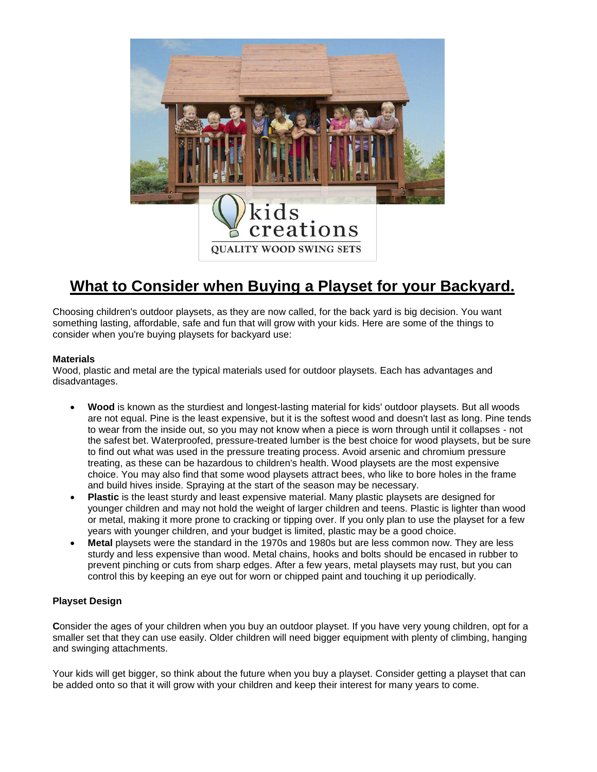

# **What to Consider when Buying a Playset for your Backyard.**

Choosing children's outdoor playsets, as they are now called, for the back yard is big decision. You want something lasting, affordable, safe and fun that will grow with your kids. Here are some of the things to consider when you're buying playsets for backyard use:

## **Materials**

Wood, plastic and metal are the typical materials used for outdoor playsets. Each has advantages and disadvantages.

- **Wood** is known as the sturdiest and longest-lasting material for kids' outdoor playsets. But all woods are not equal. Pine is the least expensive, but it is the softest wood and doesn't last as long. Pine tends to wear from the inside out, so you may not know when a piece is worn through until it collapses - not the safest bet. Waterproofed, pressure-treated lumber is the best choice for wood playsets, but be sure to find out what was used in the pressure treating process. Avoid arsenic and chromium pressure treating, as these can be hazardous to children's health. Wood playsets are the most expensive choice. You may also find that some wood playsets attract bees, who like to bore holes in the frame and build hives inside. Spraying at the start of the season may be necessary.
- **Plastic** is the least sturdy and least expensive material. Many plastic playsets are designed for younger children and may not hold the weight of larger children and teens. Plastic is lighter than wood or metal, making it more prone to cracking or tipping over. If you only plan to use the playset for a few years with younger children, and your budget is limited, plastic may be a good choice.
- **Metal** playsets were the standard in the 1970s and 1980s but are less common now. They are less sturdy and less expensive than wood. Metal chains, hooks and bolts should be encased in rubber to prevent pinching or cuts from sharp edges. After a few years, metal playsets may rust, but you can control this by keeping an eye out for worn or chipped paint and touching it up periodically.

## **Playset Design**

**C**onsider the ages of your children when you buy an outdoor playset. If you have very young children, opt for a smaller set that they can use easily. Older children will need bigger equipment with plenty of climbing, hanging and swinging attachments.

Your kids will get bigger, so think about the future when you buy a playset. Consider getting a playset that can be added onto so that it will grow with your children and keep their interest for many years to come.